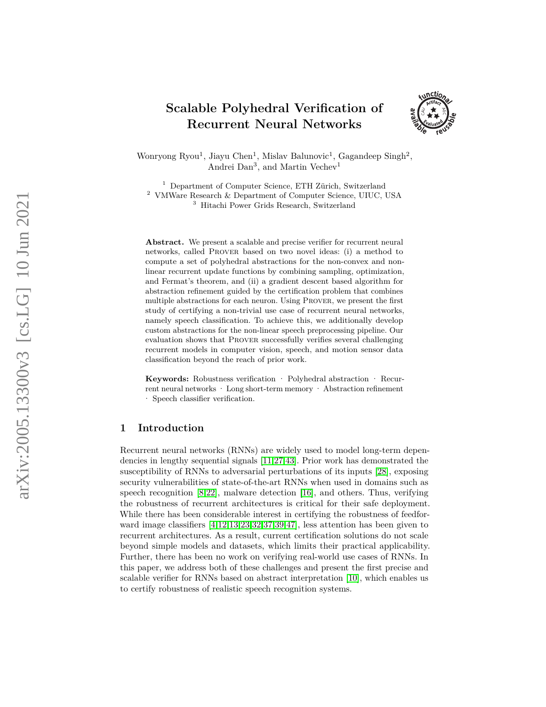# **Scalable Polyhedral Verification of Recurrent Neural Networks**



Wonryong Ryou<sup>1</sup>, Jiayu Chen<sup>1</sup>, Mislav Balunovic<sup>1</sup>, Gagandeep Singh<sup>2</sup>, Andrei Dan<sup>3</sup>, and Martin Vechev<sup>1</sup>

<sup>1</sup> Department of Computer Science, ETH Zürich, Switzerland <sup>2</sup> VMWare Research & Department of Computer Science, UIUC, USA <sup>3</sup> Hitachi Power Grids Research, Switzerland

Abstract. We present a scalable and precise verifier for recurrent neural networks, called Prover based on two novel ideas: (i) a method to compute a set of polyhedral abstractions for the non-convex and nonlinear recurrent update functions by combining sampling, optimization, and Fermat's theorem, and (ii) a gradient descent based algorithm for abstraction refinement guided by the certification problem that combines multiple abstractions for each neuron. Using Prover, we present the first study of certifying a non-trivial use case of recurrent neural networks, namely speech classification. To achieve this, we additionally develop custom abstractions for the non-linear speech preprocessing pipeline. Our evaluation shows that Prover successfully verifies several challenging recurrent models in computer vision, speech, and motion sensor data classification beyond the reach of prior work.

Keywords: Robustness verification · Polyhedral abstraction · Recurrent neural networks · Long short-term memory · Abstraction refinement · Speech classifier verification.

## **1 Introduction**

Recurrent neural networks (RNNs) are widely used to model long-term dependencies in lengthy sequential signals [\[11,](#page-21-0)[27](#page-21-1)[,43\]](#page-22-0). Prior work has demonstrated the susceptibility of RNNs to adversarial perturbations of its inputs [\[28\]](#page-22-1), exposing security vulnerabilities of state-of-the-art RNNs when used in domains such as speech recognition [[8](#page-21-2)[,22\]](#page-21-3), malware detection [\[16\]](#page-21-4), and others. Thus, verifying the robustness of recurrent architectures is critical for their safe deployment. While there has been considerable interest in certifying the robustness of feedforward image classifiers [\[4](#page-20-0)[,12](#page-21-5)[,13](#page-21-6)[,23,](#page-21-7)[32,](#page-22-2)[37,](#page-22-3)[39](#page-22-4)[,47\]](#page-22-5), less attention has been given to recurrent architectures. As a result, current certification solutions do not scale beyond simple models and datasets, which limits their practical applicability. Further, there has been no work on verifying real-world use cases of RNNs. In this paper, we address both of these challenges and present the first precise and scalable verifier for RNNs based on abstract interpretation [\[10\]](#page-21-8), which enables us to certify robustness of realistic speech recognition systems.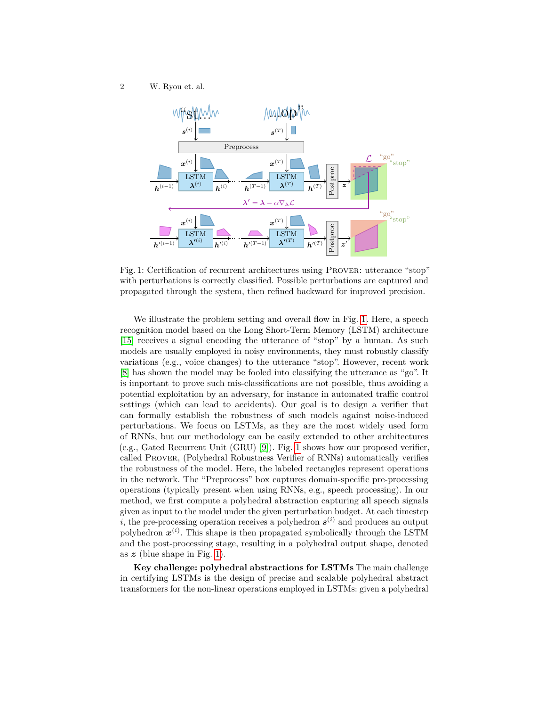<span id="page-1-0"></span>2 W. Ryou et. al.



Fig. 1: Certification of recurrent architectures using Prover: utterance "stop" with perturbations is correctly classified. Possible perturbations are captured and propagated through the system, then refined backward for improved precision.

We illustrate the problem setting and overall flow in Fig. [1.](#page-1-0) Here, a speech recognition model based on the Long Short-Term Memory (LSTM) architecture [\[15\]](#page-21-9) receives a signal encoding the utterance of "stop" by a human. As such models are usually employed in noisy environments, they must robustly classify variations (e.g., voice changes) to the utterance "stop". However, recent work [\[8\]](#page-21-2) has shown the model may be fooled into classifying the utterance as "go". It is important to prove such mis-classifications are not possible, thus avoiding a potential exploitation by an adversary, for instance in automated traffic control settings (which can lead to accidents). Our goal is to design a verifier that can formally establish the robustness of such models against noise-induced perturbations. We focus on LSTMs, as they are the most widely used form of RNNs, but our methodology can be easily extended to other architectures (e.g., Gated Recurrent Unit (GRU) [\[9\]](#page-21-10)). Fig. [1](#page-1-0) shows how our proposed verifier, called Prover, (Polyhedral Robustness Verifier of RNNs) automatically verifies the robustness of the model. Here, the labeled rectangles represent operations in the network. The "Preprocess" box captures domain-specific pre-processing operations (typically present when using RNNs, e.g., speech processing). In our method, we first compute a polyhedral abstraction capturing all speech signals given as input to the model under the given perturbation budget. At each timestep *i*, the pre-processing operation receives a polyhedron  $s^{(i)}$  and produces an output polyhedron  $x^{(i)}$ . This shape is then propagated symbolically through the LSTM and the post-processing stage, resulting in a polyhedral output shape, denoted as  $z$  (blue shape in Fig. [1\)](#page-1-0).

**Key challenge: polyhedral abstractions for LSTMs** The main challenge in certifying LSTMs is the design of precise and scalable polyhedral abstract transformers for the non-linear operations employed in LSTMs: given a polyhedral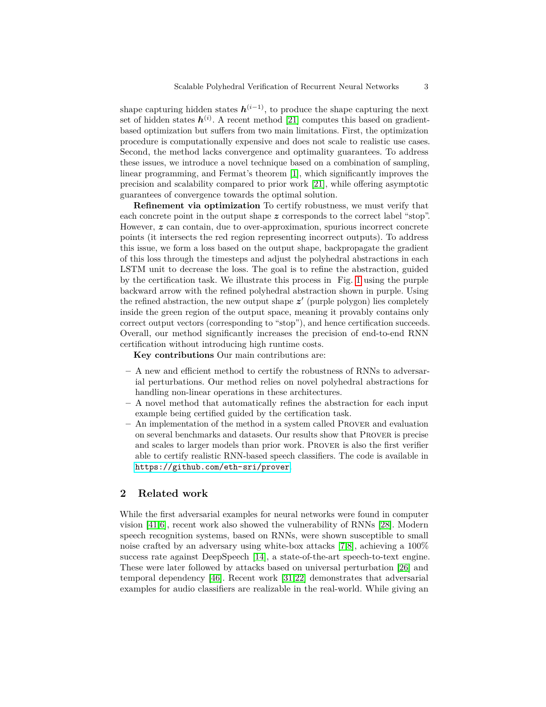shape capturing hidden states  $h^{(i-1)}$ , to produce the shape capturing the next set of hidden states  $h^{(i)}$ . A recent method [\[21\]](#page-21-11) computes this based on gradientbased optimization but suffers from two main limitations. First, the optimization procedure is computationally expensive and does not scale to realistic use cases. Second, the method lacks convergence and optimality guarantees. To address these issues, we introduce a novel technique based on a combination of sampling, linear programming, and Fermat's theorem [\[1\]](#page-20-1), which significantly improves the precision and scalability compared to prior work [\[21\]](#page-21-11), while offering asymptotic guarantees of convergence towards the optimal solution.

**Refinement via optimization** To certify robustness, we must verify that each concrete point in the output shape  $z$  corresponds to the correct label "stop". However,  $z$  can contain, due to over-approximation, spurious incorrect concrete points (it intersects the red region representing incorrect outputs). To address this issue, we form a loss based on the output shape, backpropagate the gradient of this loss through the timesteps and adjust the polyhedral abstractions in each LSTM unit to decrease the loss. The goal is to refine the abstraction, guided by the certification task. We illustrate this process in Fig. [1](#page-1-0) using the purple backward arrow with the refined polyhedral abstraction shown in purple. Using the refined abstraction, the new output shape  $z'$  (purple polygon) lies completely inside the green region of the output space, meaning it provably contains only correct output vectors (corresponding to "stop"), and hence certification succeeds. Overall, our method significantly increases the precision of end-to-end RNN certification without introducing high runtime costs.

**Key contributions** Our main contributions are:

- **–** A new and efficient method to certify the robustness of RNNs to adversarial perturbations. Our method relies on novel polyhedral abstractions for handling non-linear operations in these architectures.
- **–** A novel method that automatically refines the abstraction for each input example being certified guided by the certification task.
- **–** An implementation of the method in a system called Prover and evaluation on several benchmarks and datasets. Our results show that Prover is precise and scales to larger models than prior work. Prover is also the first verifier able to certify realistic RNN-based speech classifiers. The code is available in <https://github.com/eth-sri/prover>.

# **2 Related work**

While the first adversarial examples for neural networks were found in computer vision [\[41,](#page-22-6)[6\]](#page-20-2), recent work also showed the vulnerability of RNNs [\[28\]](#page-22-1). Modern speech recognition systems, based on RNNs, were shown susceptible to small noise crafted by an adversary using white-box attacks [\[7,](#page-20-3)[8\]](#page-21-2), achieving a 100% success rate against DeepSpeech [\[14\]](#page-21-12), a state-of-the-art speech-to-text engine. These were later followed by attacks based on universal perturbation [\[26\]](#page-21-13) and temporal dependency [\[46\]](#page-22-7). Recent work [\[31](#page-22-8)[,22\]](#page-21-3) demonstrates that adversarial examples for audio classifiers are realizable in the real-world. While giving an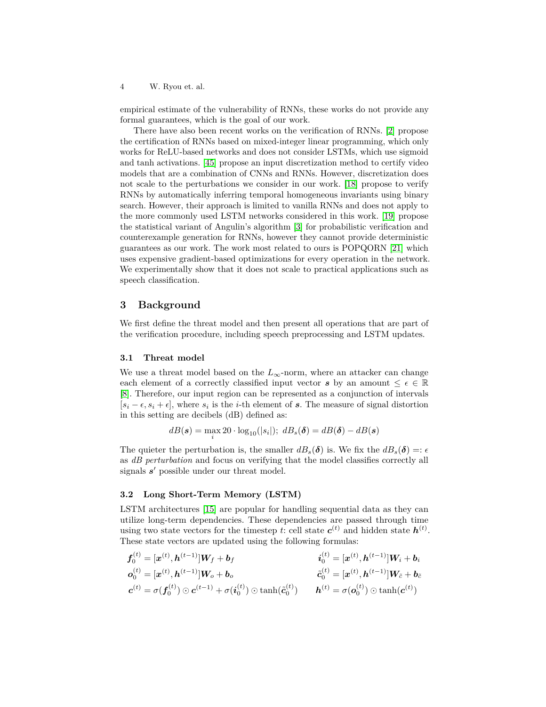4 W. Ryou et. al.

empirical estimate of the vulnerability of RNNs, these works do not provide any formal guarantees, which is the goal of our work.

There have also been recent works on the verification of RNNs. [\[2\]](#page-20-4) propose the certification of RNNs based on mixed-integer linear programming, which only works for ReLU-based networks and does not consider LSTMs, which use sigmoid and tanh activations. [\[45\]](#page-22-9) propose an input discretization method to certify video models that are a combination of CNNs and RNNs. However, discretization does not scale to the perturbations we consider in our work. [\[18\]](#page-21-14) propose to verify RNNs by automatically inferring temporal homogeneous invariants using binary search. However, their approach is limited to vanilla RNNs and does not apply to the more commonly used LSTM networks considered in this work. [\[19\]](#page-21-15) propose the statistical variant of Angulin's algorithm [\[3\]](#page-20-5) for probabilistic verification and counterexample generation for RNNs, however they cannot provide deterministic guarantees as our work. The work most related to ours is POPQORN [\[21\]](#page-21-11) which uses expensive gradient-based optimizations for every operation in the network. We experimentally show that it does not scale to practical applications such as speech classification.

# **3 Background**

We first define the threat model and then present all operations that are part of the verification procedure, including speech preprocessing and LSTM updates.

#### <span id="page-3-0"></span>**3.1 Threat model**

We use a threat model based on the  $L_{\infty}$ -norm, where an attacker can change each element of a correctly classified input vector s by an amount  $\leq \epsilon \in \mathbb{R}$ [\[8\]](#page-21-2). Therefore, our input region can be represented as a conjunction of intervals  $[s_i - \epsilon, s_i + \epsilon]$ , where  $s_i$  is the *i*-th element of s. The measure of signal distortion in this setting are decibels (dB) defined as:

$$
dB(\boldsymbol{s}) = \max_{i} 20 \cdot \log_{10}(|s_i|); \ dB_{\boldsymbol{s}}(\boldsymbol{\delta}) = dB(\boldsymbol{\delta}) - dB(\boldsymbol{s})
$$

The quieter the perturbation is, the smaller  $dB_s(\delta)$  is. We fix the  $dB_s(\delta) =: \epsilon$ as *dB perturbation* and focus on verifying that the model classifies correctly all signals  $s'$  possible under our threat model.

## **3.2 Long Short-Term Memory (LSTM)**

LSTM architectures [\[15\]](#page-21-9) are popular for handling sequential data as they can utilize long-term dependencies. These dependencies are passed through time using two state vectors for the timestep *t*: cell state  $c^{(t)}$  and hidden state  $h^{(t)}$ . These state vectors are updated using the following formulas:

$$
\mathbf{f}_{0}^{(t)} = [\mathbf{x}^{(t)}, \mathbf{h}^{(t-1)}]W_f + \mathbf{b}_f
$$
\n
$$
\mathbf{o}_{0}^{(t)} = [\mathbf{x}^{(t)}, \mathbf{h}^{(t-1)}]W_o + \mathbf{b}_o
$$
\n
$$
\mathbf{o}_{0}^{(t)} = [\mathbf{x}^{(t)}, \mathbf{h}^{(t-1)}]W_o + \mathbf{b}_o
$$
\n
$$
\mathbf{c}_{0}^{(t)} = [\mathbf{x}^{(t)}, \mathbf{h}^{(t-1)}]W_{\tilde{c}} + \mathbf{b}_{\tilde{c}}
$$
\n
$$
\mathbf{c}_{0}^{(t)} = [\mathbf{x}^{(t)}, \mathbf{h}^{(t-1)}]W_{\tilde{c}} + \mathbf{b}_{\tilde{c}}
$$
\n
$$
\mathbf{c}_{0}^{(t)} = [\mathbf{x}^{(t)}, \mathbf{h}^{(t-1)}]W_{\tilde{c}} + \mathbf{b}_{\tilde{c}}
$$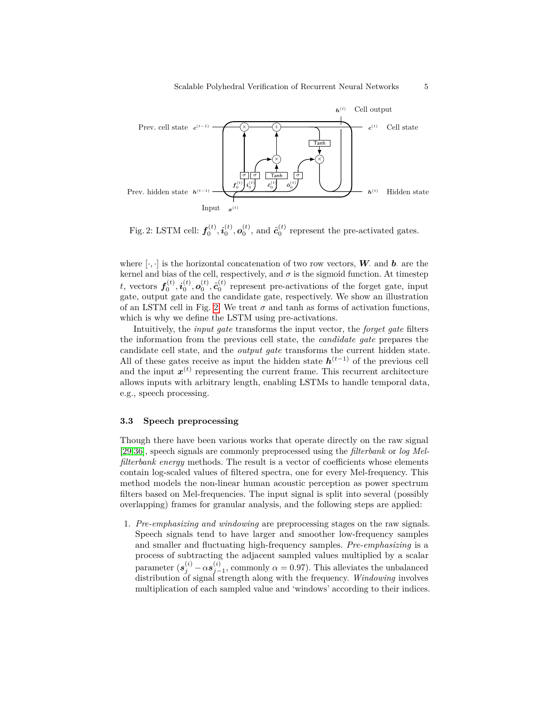<span id="page-4-0"></span>

Fig. 2: LSTM cell:  $f_0^{(t)}$ ,  $i_0^{(t)}$ ,  $o_0^{(t)}$ , and  $\tilde{c}_0^{(t)}$  represent the pre-activated gates.

where  $[\cdot, \cdot]$  is the horizontal concatenation of two row vectors, **W**, and **b**, are the kernel and bias of the cell, respectively, and  $\sigma$  is the sigmoid function. At timestep t, vectors  $f_0^{(t)}$ ,  $i_0^{(t)}$ ,  $o_0^{(t)}$ ,  $\tilde{c}_0^{(t)}$  represent pre-activations of the forget gate, input gate, output gate and the candidate gate, respectively. We show an illustration of an LSTM cell in Fig. [2.](#page-4-0) We treat  $\sigma$  and tanh as forms of activation functions, which is why we define the LSTM using pre-activations.

Intuitively, the *input gate* transforms the input vector, the *forget gate* filters the information from the previous cell state, the *candidate gate* prepares the candidate cell state, and the *output gate* transforms the current hidden state. All of these gates receive as input the hidden state  $h^{(t-1)}$  of the previous cell and the input  $x^{(t)}$  representing the current frame. This recurrent architecture allows inputs with arbitrary length, enabling LSTMs to handle temporal data, e.g., speech processing.

#### <span id="page-4-1"></span>**3.3 Speech preprocessing**

Though there have been various works that operate directly on the raw signal [\[29](#page-22-10)[,36\]](#page-22-11), speech signals are commonly preprocessed using the *filterbank* or *log Melfilterbank energy* methods. The result is a vector of coefficients whose elements contain log-scaled values of filtered spectra, one for every Mel-frequency. This method models the non-linear human acoustic perception as power spectrum filters based on Mel-frequencies. The input signal is split into several (possibly overlapping) frames for granular analysis, and the following steps are applied:

1. *Pre-emphasizing and windowing* are preprocessing stages on the raw signals. Speech signals tend to have larger and smoother low-frequency samples and smaller and fluctuating high-frequency samples. *Pre-emphasizing* is a process of subtracting the adjacent sampled values multiplied by a scalar parameter  $(s_j^{(i)} - \alpha s_{j-1}^{(i)}$ , commonly  $\alpha = 0.97$ ). This alleviates the unbalanced distribution of signal strength along with the frequency. *Windowing* involves multiplication of each sampled value and 'windows' according to their indices.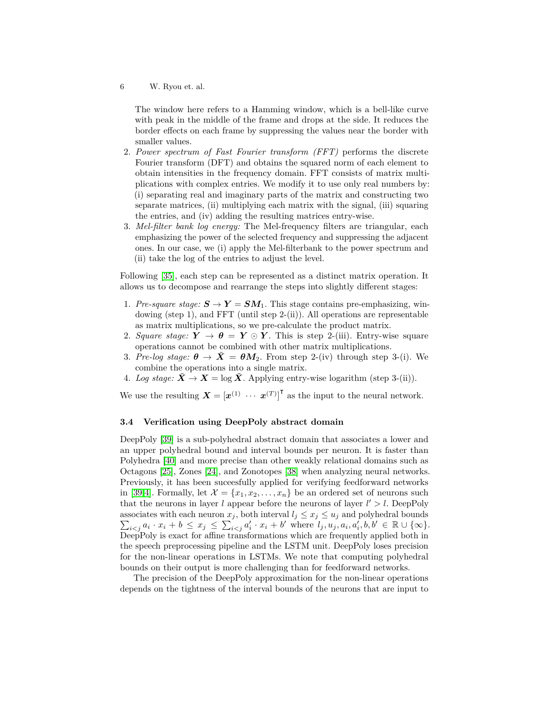6 W. Ryou et. al.

The window here refers to a Hamming window, which is a bell-like curve with peak in the middle of the frame and drops at the side. It reduces the border effects on each frame by suppressing the values near the border with smaller values.

- 2. *Power spectrum of Fast Fourier transform (FFT)* performs the discrete Fourier transform (DFT) and obtains the squared norm of each element to obtain intensities in the frequency domain. FFT consists of matrix multiplications with complex entries. We modify it to use only real numbers by: (i) separating real and imaginary parts of the matrix and constructing two separate matrices, (ii) multiplying each matrix with the signal, (iii) squaring the entries, and (iv) adding the resulting matrices entry-wise.
- 3. *Mel-filter bank log energy:* The Mel-frequency filters are triangular, each emphasizing the power of the selected frequency and suppressing the adjacent ones. In our case, we (i) apply the Mel-filterbank to the power spectrum and (ii) take the log of the entries to adjust the level.

Following [\[35\]](#page-22-12), each step can be represented as a distinct matrix operation. It allows us to decompose and rearrange the steps into slightly different stages:

- 1. *Pre-square stage:*  $S \rightarrow Y = SM_1$ . This stage contains pre-emphasizing, windowing (step 1), and FFT (until step 2-(ii)). All operations are representable as matrix multiplications, so we pre-calculate the product matrix.
- 2. *Square stage:*  $Y \rightarrow \theta = Y \odot Y$ . This is step 2-(iii). Entry-wise square operations cannot be combined with other matrix multiplications.
- 3. Pre-log stage:  $\theta \to \tilde{X} = \theta M_2$ . From step 2-(iv) through step 3-(i). We combine the operations into a single matrix.
- 4. *Log stage:*  $\tilde{X} \to X = \log \tilde{X}$ . Applying entry-wise logarithm (step 3-(ii)).

We use the resulting  $\boldsymbol{X} = [\boldsymbol{x}^{(1)} \cdots \boldsymbol{x}^{(T)}]^{\mathsf{T}}$  as the input to the neural network.

#### <span id="page-5-0"></span>**3.4 Verification using DeepPoly abstract domain**

DeepPoly [\[39\]](#page-22-4) is a sub-polyhedral abstract domain that associates a lower and an upper polyhedral bound and interval bounds per neuron. It is faster than Polyhedra [\[40\]](#page-22-13) and more precise than other weakly relational domains such as Octagons [\[25\]](#page-21-16), Zones [\[24\]](#page-21-17), and Zonotopes [\[38\]](#page-22-14) when analyzing neural networks. Previously, it has been suceesfully applied for verifying feedforward networks in [\[39,](#page-22-4)[4\]](#page-20-0). Formally, let  $\mathcal{X} = \{x_1, x_2, \ldots, x_n\}$  be an ordered set of neurons such that the neurons in layer *l* appear before the neurons of layer  $l' > l$ . DeepPoly associates with each neuron  $x_j$ , both interval  $l_j \leq x_j \leq u_j$  and polyhedral bounds  $\sum_{i < j} a_i \cdot x_i + b \leq x_j \leq \sum_{i < j} a'_i \cdot x_i + b'$  where  $l_j, u_j, a_i, a'_i, b, b' \in \mathbb{R} \cup \{\infty\}.$ DeepPoly is exact for affine transformations which are frequently applied both in the speech preprocessing pipeline and the LSTM unit. DeepPoly loses precision for the non-linear operations in LSTMs. We note that computing polyhedral bounds on their output is more challenging than for feedforward networks.

The precision of the DeepPoly approximation for the non-linear operations depends on the tightness of the interval bounds of the neurons that are input to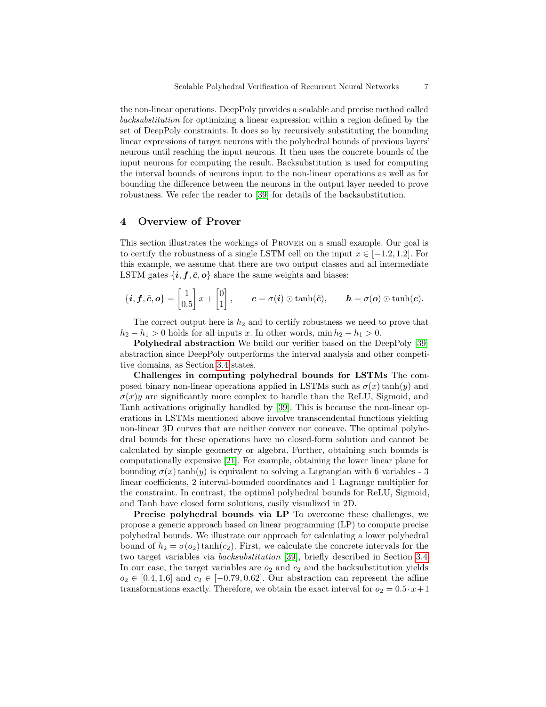the non-linear operations. DeepPoly provides a scalable and precise method called *backsubstitution* for optimizing a linear expression within a region defined by the set of DeepPoly constraints. It does so by recursively substituting the bounding linear expressions of target neurons with the polyhedral bounds of previous layers' neurons until reaching the input neurons. It then uses the concrete bounds of the input neurons for computing the result. Backsubstitution is used for computing the interval bounds of neurons input to the non-linear operations as well as for bounding the difference between the neurons in the output layer needed to prove robustness. We refer the reader to [\[39\]](#page-22-4) for details of the backsubstitution.

## <span id="page-6-0"></span>**4 Overview of Prover**

This section illustrates the workings of Prover on a small example. Our goal is to certify the robustness of a single LSTM cell on the input  $x \in [-1.2, 1.2]$ . For this example, we assume that there are two output classes and all intermediate LSTM gates  $\{i, f, \tilde{c}, o\}$  share the same weights and biases:

$$
\{\boldsymbol{i},\boldsymbol{f},\tilde{\boldsymbol{c}},\boldsymbol{o}\}=\begin{bmatrix}1\\0.5\end{bmatrix}x+\begin{bmatrix}0\\1\end{bmatrix},\qquad \boldsymbol{c}=\sigma(\boldsymbol{i})\odot\tanh(\tilde{\boldsymbol{c}}),\qquad \boldsymbol{h}=\sigma(\boldsymbol{o})\odot\tanh(\boldsymbol{c}).
$$

The correct output here is  $h_2$  and to certify robustness we need to prove that  $h_2 - h_1 > 0$  holds for all inputs *x*. In other words, min  $h_2 - h_1 > 0$ .

**Polyhedral abstraction** We build our verifier based on the DeepPoly [\[39\]](#page-22-4) abstraction since DeepPoly outperforms the interval analysis and other competitive domains, as Section [3.4](#page-5-0) states.

**Challenges in computing polyhedral bounds for LSTMs** The composed binary non-linear operations applied in LSTMs such as  $\sigma(x)$ tanh $(y)$  and  $\sigma(x)y$  are significantly more complex to handle than the ReLU, Sigmoid, and Tanh activations originally handled by [\[39\]](#page-22-4). This is because the non-linear operations in LSTMs mentioned above involve transcendental functions yielding non-linear 3D curves that are neither convex nor concave. The optimal polyhedral bounds for these operations have no closed-form solution and cannot be calculated by simple geometry or algebra. Further, obtaining such bounds is computationally expensive [\[21\]](#page-21-11). For example, obtaining the lower linear plane for bounding  $\sigma(x)$  tanh(*y*) is equivalent to solving a Lagrangian with 6 variables - 3 linear coefficients, 2 interval-bounded coordinates and 1 Lagrange multiplier for the constraint. In contrast, the optimal polyhedral bounds for ReLU, Sigmoid, and Tanh have closed form solutions, easily visualized in 2D.

**Precise polyhedral bounds via LP** To overcome these challenges, we propose a generic approach based on linear programming (LP) to compute precise polyhedral bounds. We illustrate our approach for calculating a lower polyhedral bound of  $h_2 = \sigma(o_2)$  tanh( $c_2$ ). First, we calculate the concrete intervals for the two target variables via *backsubstitution* [\[39\]](#page-22-4), briefly described in Section [3.4.](#page-5-0) In our case, the target variables are  $o_2$  and  $c_2$  and the backsubstitution yields  $o_2$  ∈ [0.4*,* 1.6] and  $c_2$  ∈ [−0.79*,* 0.62]. Our abstraction can represent the affine transformations exactly. Therefore, we obtain the exact interval for  $o_2 = 0.5 \cdot x + 1$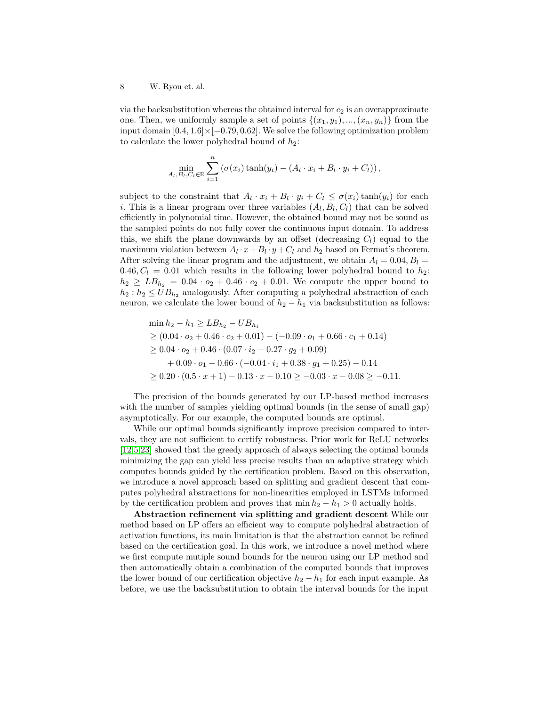via the backsubstitution whereas the obtained interval for *c*<sup>2</sup> is an overapproximate one. Then, we uniformly sample a set of points  $\{(x_1, y_1), ..., (x_n, y_n)\}\)$  from the input domain [0*.*4*,* 1*.*6]×[−0*.*79*,* 0*.*62]. We solve the following optimization problem to calculate the lower polyhedral bound of  $h_2$ :

$$
\min_{A_l, B_l, C_l \in \mathbb{R}} \sum_{i=1}^n \left( \sigma(x_i) \tanh(y_i) - (A_l \cdot x_i + B_l \cdot y_i + C_l) \right),
$$

subject to the constraint that  $A_l \cdot x_i + B_l \cdot y_i + C_l \leq \sigma(x_i) \tanh(y_i)$  for each *i*. This is a linear program over three variables  $(A_l, B_l, C_l)$  that can be solved efficiently in polynomial time. However, the obtained bound may not be sound as the sampled points do not fully cover the continuous input domain. To address this, we shift the plane downwards by an offset (decreasing  $C_l$ ) equal to the maximum violation between  $A_l \cdot x + B_l \cdot y + C_l$  and  $h_2$  based on Fermat's theorem. After solving the linear program and the adjustment, we obtain  $A_l = 0.04, B_l =$  $0.46, C_l = 0.01$  which results in the following lower polyhedral bound to  $h_2$ .  $h_2 \geq L B_{h_2} = 0.04 \cdot o_2 + 0.46 \cdot c_2 + 0.01$ . We compute the upper bound to  $h_2: h_2 \leq UB_{h_2}$  analogously. After computing a polyhedral abstraction of each neuron, we calculate the lower bound of  $h_2 - h_1$  via backsubstitution as follows:

$$
\min h_2 - h_1 \geq LBh_2 - UBh_1
$$
  
\n
$$
\geq (0.04 \cdot o_2 + 0.46 \cdot c_2 + 0.01) - (-0.09 \cdot o_1 + 0.66 \cdot c_1 + 0.14)
$$
  
\n
$$
\geq 0.04 \cdot o_2 + 0.46 \cdot (0.07 \cdot i_2 + 0.27 \cdot g_2 + 0.09)
$$
  
\n
$$
+ 0.09 \cdot o_1 - 0.66 \cdot (-0.04 \cdot i_1 + 0.38 \cdot g_1 + 0.25) - 0.14
$$
  
\n
$$
\geq 0.20 \cdot (0.5 \cdot x + 1) - 0.13 \cdot x - 0.10 \geq -0.03 \cdot x - 0.08 \geq -0.11.
$$

The precision of the bounds generated by our LP-based method increases with the number of samples yielding optimal bounds (in the sense of small gap) asymptotically. For our example, the computed bounds are optimal.

While our optimal bounds significantly improve precision compared to intervals, they are not sufficient to certify robustness. Prior work for ReLU networks [\[12](#page-21-5)[,5,](#page-20-6)[23\]](#page-21-7) showed that the greedy approach of always selecting the optimal bounds minimizing the gap can yield less precise results than an adaptive strategy which computes bounds guided by the certification problem. Based on this observation, we introduce a novel approach based on splitting and gradient descent that computes polyhedral abstractions for non-linearities employed in LSTMs informed by the certification problem and proves that  $\min h_2 - h_1 > 0$  actually holds.

**Abstraction refinement via splitting and gradient descent** While our method based on LP offers an efficient way to compute polyhedral abstraction of activation functions, its main limitation is that the abstraction cannot be refined based on the certification goal. In this work, we introduce a novel method where we first compute mutiple sound bounds for the neuron using our LP method and then automatically obtain a combination of the computed bounds that improves the lower bound of our certification objective  $h_2 - h_1$  for each input example. As before, we use the backsubstitution to obtain the interval bounds for the input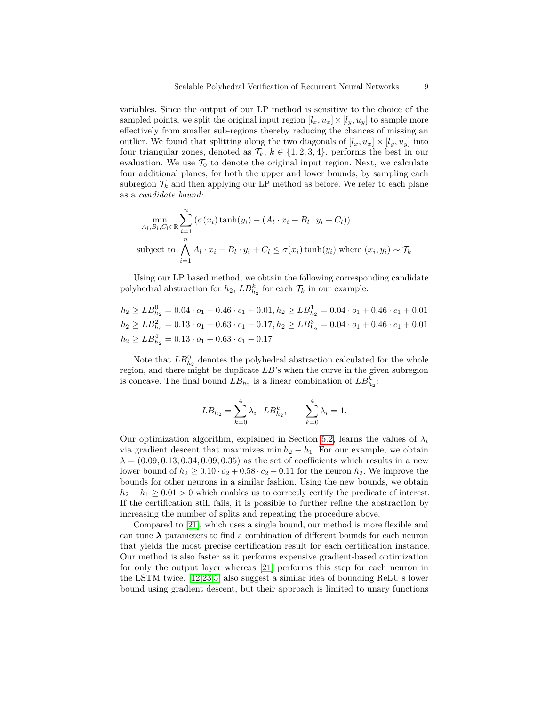variables. Since the output of our LP method is sensitive to the choice of the sampled points, we split the original input region  $[l_x, u_x] \times [l_y, u_y]$  to sample more effectively from smaller sub-regions thereby reducing the chances of missing an outlier. We found that splitting along the two diagonals of  $[l_x, u_x] \times [l_y, u_y]$  into four triangular zones, denoted as  $\mathcal{T}_k$ ,  $k \in \{1, 2, 3, 4\}$ , performs the best in our evaluation. We use  $\mathcal{T}_0$  to denote the original input region. Next, we calculate four additional planes, for both the upper and lower bounds, by sampling each subregion  $\mathcal{T}_k$  and then applying our LP method as before. We refer to each plane as a *candidate bound*:

$$
\min_{A_l, B_l, C_l \in \mathbb{R}} \sum_{i=1}^n \left( \sigma(x_i) \tanh(y_i) - (A_l \cdot x_i + B_l \cdot y_i + C_l) \right)
$$
\nsubject to 
$$
\bigwedge_{i=1}^n A_l \cdot x_i + B_l \cdot y_i + C_l \leq \sigma(x_i) \tanh(y_i)
$$
 where  $(x_i, y_i) \sim \mathcal{T}_k$ 

Using our LP based method, we obtain the following corresponding candidate polyhedral abstraction for  $h_2$ ,  $LB_{h_2}^k$  for each  $\mathcal{T}_k$  in our example:

 $h_2 \geq LB_{h_2}^0 = 0.04 \cdot o_1 + 0.46 \cdot c_1 + 0.01, h_2 \geq LB_{h_2}^1 = 0.04 \cdot o_1 + 0.46 \cdot c_1 + 0.01$  $h_2 \geq LB_{h_2}^2 = 0.13 \cdot o_1 + 0.63 \cdot c_1 - 0.17, h_2 \geq LB_{h_2}^3 = 0.04 \cdot o_1 + 0.46 \cdot c_1 + 0.01$  $h_2 \geq LB_{h_2}^4 = 0.13 \cdot o_1 + 0.63 \cdot c_1 - 0.17$ 

Note that  $LB_{h_2}^0$  denotes the polyhedral abstraction calculated for the whole region, and there might be duplicate *LB*'s when the curve in the given subregion is concave. The final bound  $LB_{h_2}$  is a linear combination of  $LB_{h_2}^k$ :

$$
LB_{h_2} = \sum_{k=0}^{4} \lambda_i \cdot LB_{h_2}^k
$$
,  $\sum_{k=0}^{4} \lambda_i = 1$ .

Our optimization algorithm, explained in Section [5.2,](#page-12-0) learns the values of  $\lambda_i$ via gradient descent that maximizes  $\min h_2 - h_1$ . For our example, we obtain  $\lambda = (0.09, 0.13, 0.34, 0.09, 0.35)$  as the set of coefficients which results in a new lower bound of  $h_2 \geq 0.10 \cdot o_2 + 0.58 \cdot c_2 - 0.11$  for the neuron  $h_2$ . We improve the bounds for other neurons in a similar fashion. Using the new bounds, we obtain  $h_2 - h_1 \geq 0.01 > 0$  which enables us to correctly certify the predicate of interest. If the certification still fails, it is possible to further refine the abstraction by increasing the number of splits and repeating the procedure above.

Compared to [\[21\]](#page-21-11), which uses a single bound, our method is more flexible and can tune  $\lambda$  parameters to find a combination of different bounds for each neuron that yields the most precise certification result for each certification instance. Our method is also faster as it performs expensive gradient-based optimization for only the output layer whereas [\[21\]](#page-21-11) performs this step for each neuron in the LSTM twice. [\[12](#page-21-5)[,23,](#page-21-7)[5\]](#page-20-6) also suggest a similar idea of bounding ReLU's lower bound using gradient descent, but their approach is limited to unary functions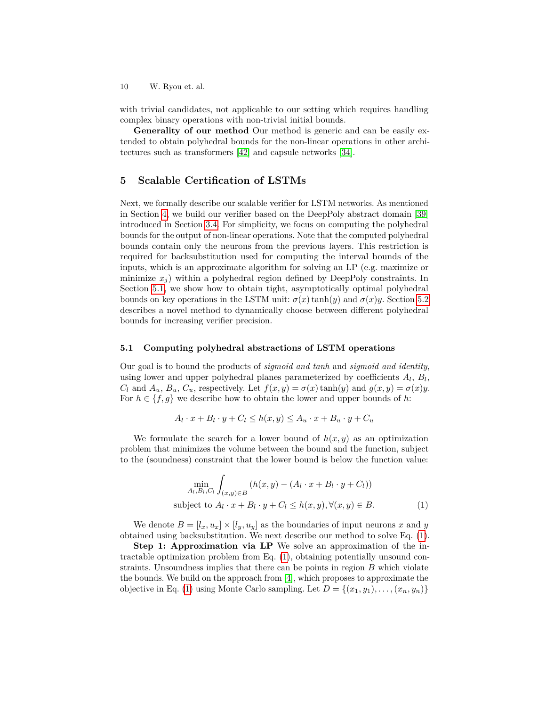10 W. Ryou et. al.

with trivial candidates, not applicable to our setting which requires handling complex binary operations with non-trivial initial bounds.

**Generality of our method** Our method is generic and can be easily extended to obtain polyhedral bounds for the non-linear operations in other architectures such as transformers [\[42\]](#page-22-15) and capsule networks [\[34\]](#page-22-16).

## **5 Scalable Certification of LSTMs**

Next, we formally describe our scalable verifier for LSTM networks. As mentioned in Section [4,](#page-6-0) we build our verifier based on the DeepPoly abstract domain [\[39\]](#page-22-4) introduced in Section [3.4.](#page-5-0) For simplicity, we focus on computing the polyhedral bounds for the output of non-linear operations. Note that the computed polyhedral bounds contain only the neurons from the previous layers. This restriction is required for backsubstitution used for computing the interval bounds of the inputs, which is an approximate algorithm for solving an LP (e.g. maximize or minimize  $x_j$ ) within a polyhedral region defined by DeepPoly constraints. In Section [5.1,](#page-9-0) we show how to obtain tight, asymptotically optimal polyhedral bounds on key operations in the LSTM unit:  $\sigma(x)$  tanh(*y*) and  $\sigma(x)y$ . Section [5.2](#page-12-0) describes a novel method to dynamically choose between different polyhedral bounds for increasing verifier precision.

#### <span id="page-9-0"></span>**5.1 Computing polyhedral abstractions of LSTM operations**

Our goal is to bound the products of *sigmoid and tanh* and *sigmoid and identity*, using lower and upper polyhedral planes parameterized by coefficients  $A_l$ ,  $B_l$ , *C*<sub>l</sub> and  $A_u$ ,  $B_u$ ,  $C_u$ , respectively. Let  $f(x, y) = \sigma(x) \tanh(y)$  and  $g(x, y) = \sigma(x)y$ . For  $h \in \{f, g\}$  we describe how to obtain the lower and upper bounds of *h*:

$$
A_l \cdot x + B_l \cdot y + C_l \le h(x, y) \le A_u \cdot x + B_u \cdot y + C_u
$$

We formulate the search for a lower bound of  $h(x, y)$  as an optimization problem that minimizes the volume between the bound and the function, subject to the (soundness) constraint that the lower bound is below the function value:

<span id="page-9-1"></span>
$$
\min_{A_l, B_l, C_l} \int_{(x,y)\in B} (h(x,y) - (A_l \cdot x + B_l \cdot y + C_l))
$$
\nsubject to  $A_l \cdot x + B_l \cdot y + C_l \leq h(x,y), \forall (x,y) \in B.$  (1)

We denote  $B = [l_x, u_x] \times [l_y, u_y]$  as the boundaries of input neurons *x* and *y* obtained using backsubstitution. We next describe our method to solve Eq. [\(1\)](#page-9-1).

**Step 1: Approximation via LP** We solve an approximation of the intractable optimization problem from Eq. [\(1\)](#page-9-1), obtaining potentially unsound constraints. Unsoundness implies that there can be points in region *B* which violate the bounds. We build on the approach from [\[4\]](#page-20-0), which proposes to approximate the objective in Eq. [\(1\)](#page-9-1) using Monte Carlo sampling. Let  $D = \{(x_1, y_1), \ldots, (x_n, y_n)\}\$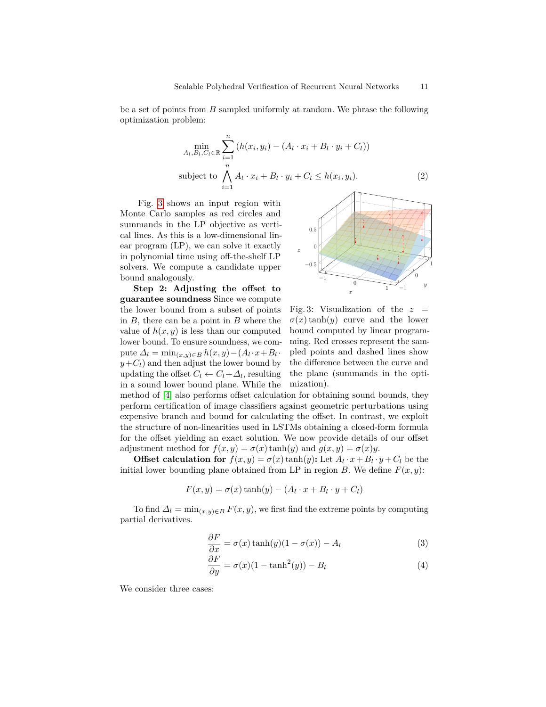be a set of points from *B* sampled uniformly at random. We phrase the following optimization problem:

$$
\min_{A_l, B_l, C_l \in \mathbb{R}} \sum_{i=1}^n (h(x_i, y_i) - (A_l \cdot x_i + B_l \cdot y_i + C_l))
$$
\nsubject to 
$$
\bigwedge_{i=1}^n A_l \cdot x_i + B_l \cdot y_i + C_l \le h(x_i, y_i).
$$
\n(2)

Fig. [3](#page-10-0) shows an input region with Monte Carlo samples as red circles and summands in the LP objective as vertical lines. As this is a low-dimensional linear program (LP), we can solve it exactly in polynomial time using off-the-shelf LP solvers. We compute a candidate upper bound analogously.

**Step 2: Adjusting the offset to guarantee soundness** Since we compute the lower bound from a subset of points in *B*, there can be a point in *B* where the value of  $h(x, y)$  is less than our computed lower bound. To ensure soundness, we compute  $\Delta_l = \min_{(x,y)\in B} h(x,y) - (A_l \cdot x + B_l \cdot y)$  $y + C_l$  and then adjust the lower bound by updating the offset  $C_l \leftarrow C_l + \Delta_l$ , resulting in a sound lower bound plane. While the

<span id="page-10-3"></span><span id="page-10-0"></span>

Fig. 3: Visualization of the  $z =$  $\sigma(x)$  tanh(*y*) curve and the lower bound computed by linear programming. Red crosses represent the sampled points and dashed lines show the difference between the curve and the plane (summands in the optimization).

method of [\[4\]](#page-20-0) also performs offset calculation for obtaining sound bounds, they perform certification of image classifiers against geometric perturbations using expensive branch and bound for calculating the offset. In contrast, we exploit the structure of non-linearities used in LSTMs obtaining a closed-form formula for the offset yielding an exact solution. We now provide details of our offset adjustment method for  $f(x, y) = \sigma(x) \tanh(y)$  and  $g(x, y) = \sigma(x)y$ .

**Offset calculation for**  $f(x, y) = \sigma(x) \tanh(y)$ : Let  $A_l \cdot x + B_l \cdot y + C_l$  be the initial lower bounding plane obtained from LP in region *B*. We define  $F(x, y)$ :

$$
F(x, y) = \sigma(x)\tanh(y) - (A_l \cdot x + B_l \cdot y + C_l)
$$

To find  $\Delta_l = \min_{(x,y)\in B} F(x, y)$ , we first find the extreme points by computing partial derivatives.

<span id="page-10-1"></span>
$$
\frac{\partial F}{\partial x} = \sigma(x)\tanh(y)(1 - \sigma(x)) - A_l \tag{3}
$$

<span id="page-10-2"></span>
$$
\frac{\partial F}{\partial y} = \sigma(x)(1 - \tanh^2(y)) - B_l \tag{4}
$$

We consider three cases: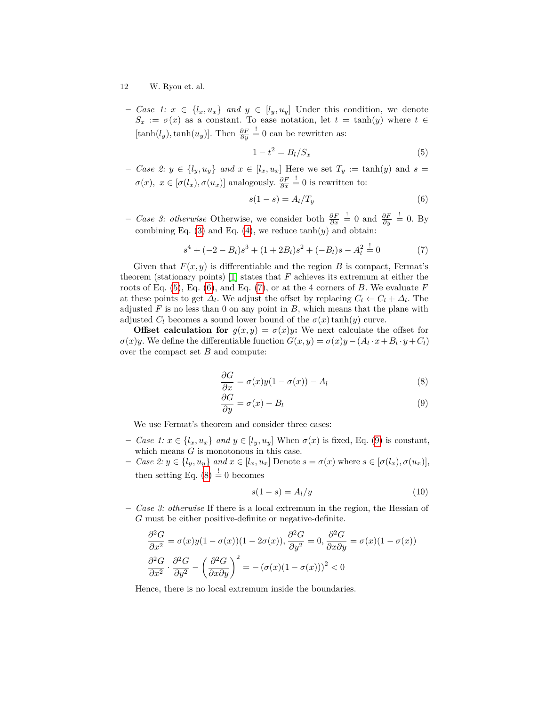- 12 W. Ryou et. al.
- **–** *Case 1: x* ∈ {*lx, ux*} *and y* ∈ [*ly, uy*] Under this condition, we denote  $S_x := \sigma(x)$  as a constant. To ease notation, let  $t = \tanh(y)$  where  $t \in$  $[\tanh(l_y), \tanh(u_y)]$ . Then  $\frac{\partial F}{\partial y} = 0$  can be rewritten as:

<span id="page-11-0"></span>
$$
1 - t^2 = B_l/S_x \tag{5}
$$

**–** *Case 2: y* ∈ {*ly, uy*} *and x* ∈ [*lx, ux*] Here we set *T<sup>y</sup>* := tanh(*y*) and *s* =  $\sigma(x), x \in [\sigma(l_x), \sigma(u_x)]$  analogously.  $\frac{\partial F}{\partial x} = 0$  is rewritten to:

<span id="page-11-1"></span>
$$
s(1-s) = A_l/T_y \tag{6}
$$

**–** *Case 3: otherwise* Otherwise, we consider both *∂F ∂x* != 0 and *∂F ∂y* != 0. By combining Eq.  $(3)$  and Eq.  $(4)$ , we reduce  $tanh(y)$  and obtain:

<span id="page-11-2"></span>
$$
s^{4} + (-2 - B_{l})s^{3} + (1 + 2B_{l})s^{2} + (-B_{l})s - A_{l}^{2} = 0
$$
\n(7)

Given that  $F(x, y)$  is differentiable and the region *B* is compact, Fermat's theorem (stationary points) [\[1\]](#page-20-1) states that *F* achieves its extremum at either the roots of Eq. [\(5\)](#page-11-0), Eq. [\(6\)](#page-11-1), and Eq. [\(7\)](#page-11-2), or at the 4 corners of *B*. We evaluate *F* at these points to get  $\Delta_l$ . We adjust the offset by replacing  $C_l \leftarrow C_l + \Delta_l$ . The adjusted  $F$  is no less than 0 on any point in  $B$ , which means that the plane with adjusted  $C_l$  becomes a sound lower bound of the  $\sigma(x)$  tanh(*y*) curve.

**Offset calculation for**  $g(x, y) = \sigma(x)y$ : We next calculate the offset for *σ*(*x*)*y*. We define the differentiable function  $G(x, y) = \sigma(x)y - (A_l \cdot x + B_l \cdot y + C_l)$ over the compact set *B* and compute:

<span id="page-11-4"></span>
$$
\frac{\partial G}{\partial x} = \sigma(x)y(1 - \sigma(x)) - A_l \tag{8}
$$

$$
\frac{\partial G}{\partial y} = \sigma(x) - B_l \tag{9}
$$

We use Fermat's theorem and consider three cases:

- **–** *Case 1: x* ∈ {*lx, ux*} *and y* ∈ [*ly, uy*] When *σ*(*x*) is fixed, Eq. [\(9\)](#page-11-3) is constant, which means *G* is monotonous in this case.
- $-$  Case 2:  $y \in \{l_y, u_y\}$  and  $x \in [l_x, u_x]$  Denote  $s = \sigma(x)$  where  $s \in [\sigma(l_x), \sigma(u_x)],$ then setting Eq. [\(8\)](#page-11-4)  $\stackrel{!}{=} 0$  becomes

<span id="page-11-5"></span><span id="page-11-3"></span>
$$
s(1-s) = A_l/y \tag{10}
$$

**–** *Case 3: otherwise* If there is a local extremum in the region, the Hessian of *G* must be either positive-definite or negative-definite.

$$
\frac{\partial^2 G}{\partial x^2} = \sigma(x)y(1 - \sigma(x))(1 - 2\sigma(x)), \frac{\partial^2 G}{\partial y^2} = 0, \frac{\partial^2 G}{\partial x \partial y} = \sigma(x)(1 - \sigma(x))
$$

$$
\frac{\partial^2 G}{\partial x^2} \cdot \frac{\partial^2 G}{\partial y^2} - \left(\frac{\partial^2 G}{\partial x \partial y}\right)^2 = -(\sigma(x)(1 - \sigma(x)))^2 < 0
$$

Hence, there is no local extremum inside the boundaries.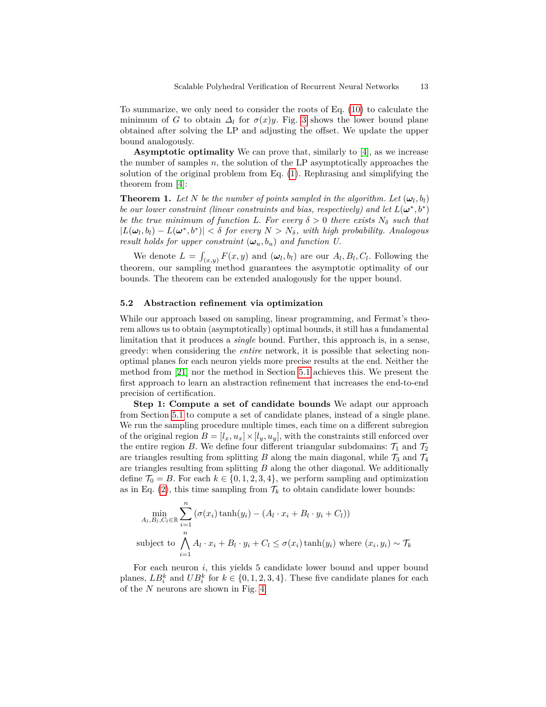To summarize, we only need to consider the roots of Eq. [\(10\)](#page-11-5) to calculate the minimum of *G* to obtain  $\Delta_l$  for  $\sigma(x)y$ . Fig. [3](#page-10-0) shows the lower bound plane obtained after solving the LP and adjusting the offset. We update the upper bound analogously.

**Asymptotic optimality** We can prove that, similarly to [\[4\]](#page-20-0), as we increase the number of samples *n*, the solution of the LP asymptotically approaches the solution of the original problem from Eq. [\(1\)](#page-9-1). Rephrasing and simplifying the theorem from [\[4\]](#page-20-0):

**Theorem 1.** Let N be the number of points sampled in the algorithm. Let  $(\omega_l, b_l)$ *be our lower constraint (linear constraints and bias, respectively) and let*  $L(\boldsymbol{\omega}^*, b^*)$ *be the true minimum of function L. For every*  $\delta > 0$  *there exists*  $N_{\delta}$  *such that*  $|L(\omega_l, b_l) - L(\omega^*, b^*)| < \delta$  for every  $N > N_\delta$ , with high probability. Analogous *result holds for upper constraint*  $(\omega_u, b_u)$  *and function U.* 

We denote  $L = \int_{(x,y)} F(x, y)$  and  $(\omega_l, b_l)$  are our  $A_l, B_l, C_l$ . Following the theorem, our sampling method guarantees the asymptotic optimality of our bounds. The theorem can be extended analogously for the upper bound.

#### <span id="page-12-0"></span>**5.2 Abstraction refinement via optimization**

While our approach based on sampling, linear programming, and Fermat's theorem allows us to obtain (asymptotically) optimal bounds, it still has a fundamental limitation that it produces a *single* bound. Further, this approach is, in a sense, greedy: when considering the *entire* network, it is possible that selecting nonoptimal planes for each neuron yields more precise results at the end. Neither the method from [\[21\]](#page-21-11) nor the method in Section [5.1](#page-9-0) achieves this. We present the first approach to learn an abstraction refinement that increases the end-to-end precision of certification.

**Step 1: Compute a set of candidate bounds** We adapt our approach from Section [5.1](#page-9-0) to compute a set of candidate planes, instead of a single plane. We run the sampling procedure multiple times, each time on a different subregion of the original region  $B = [l_x, u_x] \times [l_y, u_y]$ , with the constraints still enforced over the entire region *B*. We define four different triangular subdomains:  $\mathcal{T}_1$  and  $\mathcal{T}_2$ are triangles resulting from splitting *B* along the main diagonal, while  $\mathcal{T}_3$  and  $\mathcal{T}_4$ are triangles resulting from splitting *B* along the other diagonal. We additionally define  $\mathcal{T}_0 = B$ . For each  $k \in \{0, 1, 2, 3, 4\}$ , we perform sampling and optimization as in Eq. [\(2\)](#page-10-3), this time sampling from  $\mathcal{T}_k$  to obtain candidate lower bounds:

$$
\min_{A_l, B_l, C_l \in \mathbb{R}} \sum_{i=1}^n (\sigma(x_i) \tanh(y_i) - (A_l \cdot x_i + B_l \cdot y_i + C_l))
$$
\nsubject to 
$$
\bigwedge_{i=1}^n A_l \cdot x_i + B_l \cdot y_i + C_l \leq \sigma(x_i) \tanh(y_i)
$$
 where  $(x_i, y_i) \sim \mathcal{T}_k$ 

For each neuron *i*, this yields 5 candidate lower bound and upper bound planes,  $LB_i^k$  and  $UB_i^k$  for  $k \in \{0, 1, 2, 3, 4\}$ . These five candidate planes for each of the *N* neurons are shown in Fig. [4.](#page-13-0)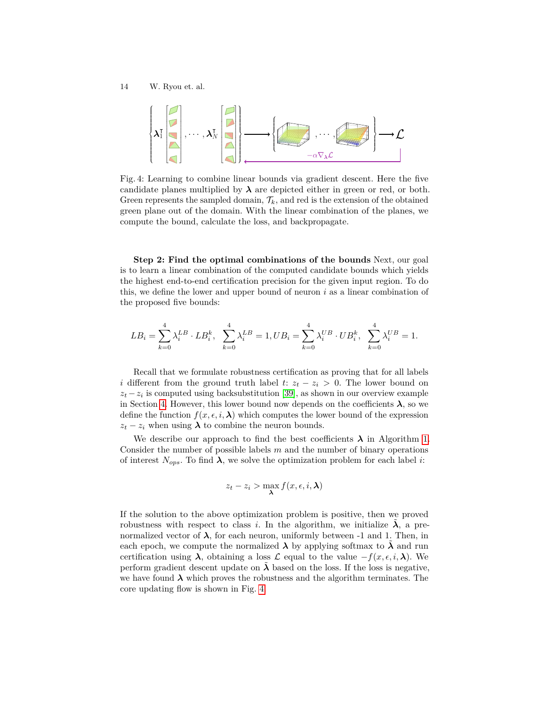<span id="page-13-0"></span>

Fig. 4: Learning to combine linear bounds via gradient descent. Here the five candidate planes multiplied by  $\lambda$  are depicted either in green or red, or both. Green represents the sampled domain,  $\mathcal{T}_k$ , and red is the extension of the obtained green plane out of the domain. With the linear combination of the planes, we compute the bound, calculate the loss, and backpropagate.

**Step 2: Find the optimal combinations of the bounds** Next, our goal is to learn a linear combination of the computed candidate bounds which yields the highest end-to-end certification precision for the given input region. To do this, we define the lower and upper bound of neuron *i* as a linear combination of the proposed five bounds:

$$
LB_i = \sum_{k=0}^{4} \lambda_i^{LB} \cdot LB_i^k, \ \sum_{k=0}^{4} \lambda_i^{LB} = 1, UB_i = \sum_{k=0}^{4} \lambda_i^{UB} \cdot UB_i^k, \ \sum_{k=0}^{4} \lambda_i^{UB} = 1.
$$

Recall that we formulate robustness certification as proving that for all labels *i* different from the ground truth label *t*:  $z_t - z_i > 0$ . The lower bound on  $z_t - z_i$  is computed using backsubstitution [\[39\]](#page-22-4), as shown in our overview example in Section [4.](#page-6-0) However, this lower bound now depends on the coefficients  $\lambda$ , so we define the function  $f(x, \epsilon, i, \lambda)$  which computes the lower bound of the expression  $z_t - z_i$  when using  $\lambda$  to combine the neuron bounds.

We describe our approach to find the best coefficients  $\lambda$  in Algorithm [1.](#page-14-0) Consider the number of possible labels *m* and the number of binary operations of interest  $N_{ops}$ . To find  $\lambda$ , we solve the optimization problem for each label *i*:

$$
z_t - z_i > \max_{\lambda} f(x, \epsilon, i, \lambda)
$$

If the solution to the above optimization problem is positive, then we proved robustness with respect to class *i*. In the algorithm, we initialize  $\lambda$ , a prenormalized vector of  $\lambda$ , for each neuron, uniformly between -1 and 1. Then, in each epoch, we compute the normalized  $\lambda$  by applying softmax to  $\lambda$  and run certification using  $\lambda$ , obtaining a loss  $\mathcal L$  equal to the value  $-f(x, \epsilon, i, \lambda)$ . We perform gradient descent update on  $\lambda$  based on the loss. If the loss is negative, we have found  $\lambda$  which proves the robustness and the algorithm terminates. The core updating flow is shown in Fig. [4.](#page-13-0)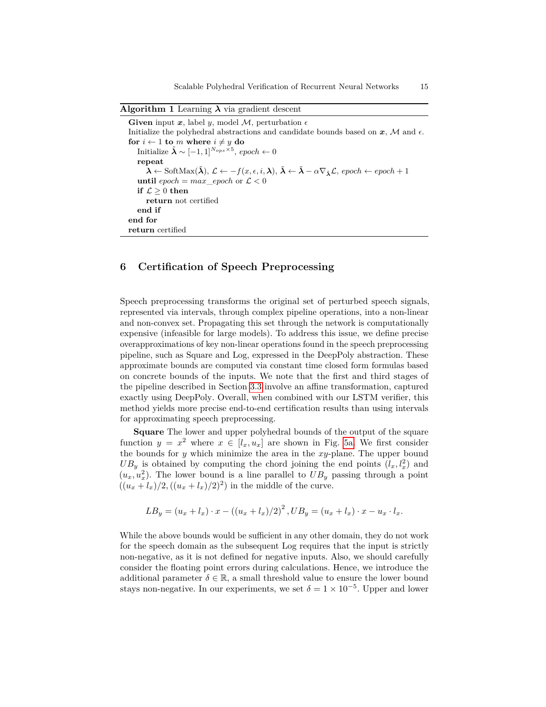#### <span id="page-14-0"></span>**Algorithm 1** Learning  $\lambda$  via gradient descent

**Given** input  $x$ , label  $y$ , model  $M$ , perturbation  $\epsilon$ Initialize the polyhedral abstractions and candidate bounds based on  $x$ , M and  $\epsilon$ . **for**  $i \leftarrow 1$  **to**  $m$  **where**  $i \neq y$  **do** Initialize  $\tilde{\lambda} \sim [-1, 1]^{N_{ops} \times 5}$ , *epoch*  $\leftarrow 0$ **repeat**  $\lambda \leftarrow \text{SoftMax}(\tilde{\lambda}), \mathcal{L} \leftarrow -f(x, \epsilon, i, \lambda), \tilde{\lambda} \leftarrow \tilde{\lambda} - \alpha \nabla_{\tilde{\lambda}} \mathcal{L}, epoch \leftarrow epoch + 1$ **until**  $epoch = max\_epoch$  or  $\mathcal{L} < 0$ **if**  $\mathcal{L} > 0$  **then return** not certified **end if end for return** certified

# **6 Certification of Speech Preprocessing**

Speech preprocessing transforms the original set of perturbed speech signals, represented via intervals, through complex pipeline operations, into a non-linear and non-convex set. Propagating this set through the network is computationally expensive (infeasible for large models). To address this issue, we define precise overapproximations of key non-linear operations found in the speech preprocessing pipeline, such as Square and Log, expressed in the DeepPoly abstraction. These approximate bounds are computed via constant time closed form formulas based on concrete bounds of the inputs. We note that the first and third stages of the pipeline described in Section [3.3](#page-4-1) involve an affine transformation, captured exactly using DeepPoly. Overall, when combined with our LSTM verifier, this method yields more precise end-to-end certification results than using intervals for approximating speech preprocessing.

**Square** The lower and upper polyhedral bounds of the output of the square function  $y = x^2$  where  $x \in [l_x, u_x]$  are shown in Fig. [5a.](#page-15-0) We first consider the bounds for *y* which minimize the area in the *xy*-plane. The upper bound  $UB_y$  is obtained by computing the chord joining the end points  $(l_x, l_x^2)$  and  $(u_x, u_x^2)$ . The lower bound is a line parallel to  $UB_y$  passing through a point  $((u_x + l_x)/2, ((u_x + l_x)/2)^2)$  in the middle of the curve.

$$
LB_y = (u_x + l_x) \cdot x - ((u_x + l_x)/2)^2
$$
,  $UB_y = (u_x + l_x) \cdot x - u_x \cdot l_x$ .

While the above bounds would be sufficient in any other domain, they do not work for the speech domain as the subsequent Log requires that the input is strictly non-negative, as it is not defined for negative inputs. Also, we should carefully consider the floating point errors during calculations. Hence, we introduce the additional parameter  $\delta \in \mathbb{R}$ , a small threshold value to ensure the lower bound stays non-negative. In our experiments, we set  $\delta = 1 \times 10^{-5}$ . Upper and lower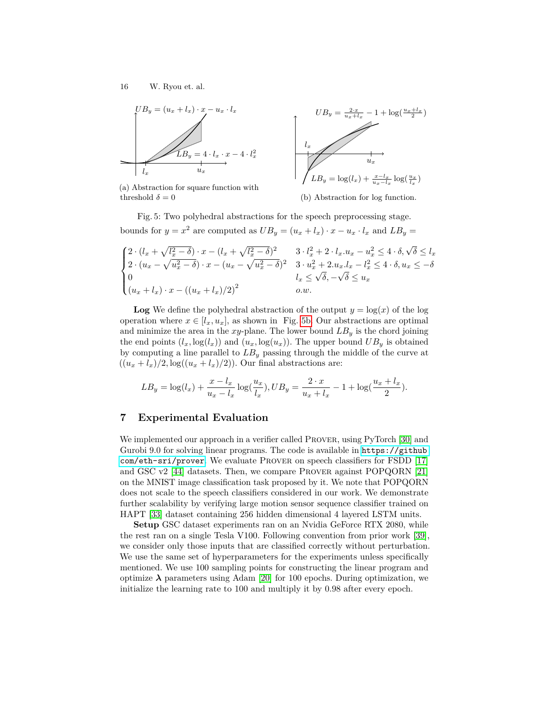16 W. Ryou et. al.

<span id="page-15-0"></span>

(a) Abstraction for square function with threshold  $\delta = 0$ 



)

(b) Abstraction for log function.

Fig. 5: Two polyhedral abstractions for the speech preprocessing stage. bounds for  $y = x^2$  are computed as  $UB_y = (u_x + l_x) \cdot x - u_x \cdot l_x$  and  $LB_y =$ 

$$
\begin{cases} 2 \cdot (l_x + \sqrt{l_x^2 - \delta}) \cdot x - (l_x + \sqrt{l_x^2 - \delta})^2 & 3 \cdot l_x^2 + 2 \cdot l_x.u_x - u_x^2 \le 4 \cdot \delta, \sqrt{\delta} \le l_x \\ 2 \cdot (u_x - \sqrt{u_x^2 - \delta}) \cdot x - (u_x - \sqrt{u_x^2 - \delta})^2 & 3 \cdot u_x^2 + 2.u_x.l_x - l_x^2 \le 4 \cdot \delta, u_x \le -\delta \\ 0 & l_x \le \sqrt{\delta}, -\sqrt{\delta} \le u_x \\ (u_x + l_x) \cdot x - ((u_x + l_x)/2)^2 & \qquad o.w. \end{cases}
$$

**Log** We define the polyhedral abstraction of the output  $y = \log(x)$  of the log operation where  $x \in [l_x, u_x]$ , as shown in Fig. [5b.](#page-15-0) Our abstractions are optimal and minimize the area in the *xy*-plane. The lower bound  $LB<sub>y</sub>$  is the chord joining the end points  $(l_x, \log(l_x))$  and  $(u_x, \log(u_x))$ . The upper bound  $UB_y$  is obtained by computing a line parallel to *LB<sup>y</sup>* passing through the middle of the curve at  $((u_x + l_x)/2, \log((u_x + l_x)/2))$ . Our final abstractions are:

$$
LB_y = \log(l_x) + \frac{x - l_x}{u_x - l_x} \log(\frac{u_x}{l_x}), UB_y = \frac{2 \cdot x}{u_x + l_x} - 1 + \log(\frac{u_x + l_x}{2}).
$$

## **7 Experimental Evaluation**

We implemented our approach in a verifier called PROVER, using PyTorch [\[30\]](#page-22-17) and Gurobi 9.0 for solving linear programs. The code is available in [https://github.](https://github.com/eth-sri/prover) [com/eth-sri/prover](https://github.com/eth-sri/prover). We evaluate Prover on speech classifiers for FSDD [\[17\]](#page-21-18) and GSC v2 [\[44\]](#page-22-18) datasets. Then, we compare PROVER against POPQORN  $[21]$ on the MNIST image classification task proposed by it. We note that POPQORN does not scale to the speech classifiers considered in our work. We demonstrate further scalability by verifying large motion sensor sequence classifier trained on HAPT [\[33\]](#page-22-19) dataset containing 256 hidden dimensional 4 layered LSTM units.

**Setup** GSC dataset experiments ran on an Nvidia GeForce RTX 2080, while the rest ran on a single Tesla V100. Following convention from prior work [\[39\]](#page-22-4), we consider only those inputs that are classified correctly without perturbation. We use the same set of hyperparameters for the experiments unless specifically mentioned. We use 100 sampling points for constructing the linear program and optimize  $\lambda$  parameters using Adam [\[20\]](#page-21-19) for 100 epochs. During optimization, we initialize the learning rate to 100 and multiply it by 0*.*98 after every epoch.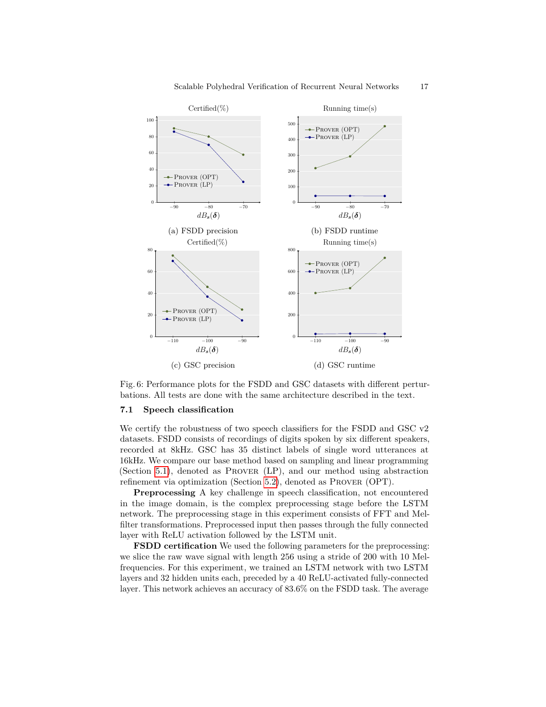<span id="page-16-0"></span>

Fig. 6: Performance plots for the FSDD and GSC datasets with different perturbations. All tests are done with the same architecture described in the text.

## **7.1 Speech classification**

We certify the robustness of two speech classifiers for the FSDD and GSC  $v2$ datasets. FSDD consists of recordings of digits spoken by six different speakers, recorded at 8kHz. GSC has 35 distinct labels of single word utterances at 16kHz. We compare our base method based on sampling and linear programming (Section [5.1\)](#page-9-0), denoted as Prover (LP), and our method using abstraction refinement via optimization (Section [5.2\)](#page-12-0), denoted as Prover (OPT).

**Preprocessing** A key challenge in speech classification, not encountered in the image domain, is the complex preprocessing stage before the LSTM network. The preprocessing stage in this experiment consists of FFT and Melfilter transformations. Preprocessed input then passes through the fully connected layer with ReLU activation followed by the LSTM unit.

**FSDD certification** We used the following parameters for the preprocessing: we slice the raw wave signal with length 256 using a stride of 200 with 10 Melfrequencies. For this experiment, we trained an LSTM network with two LSTM layers and 32 hidden units each, preceded by a 40 ReLU-activated fully-connected layer. This network achieves an accuracy of 83.6% on the FSDD task. The average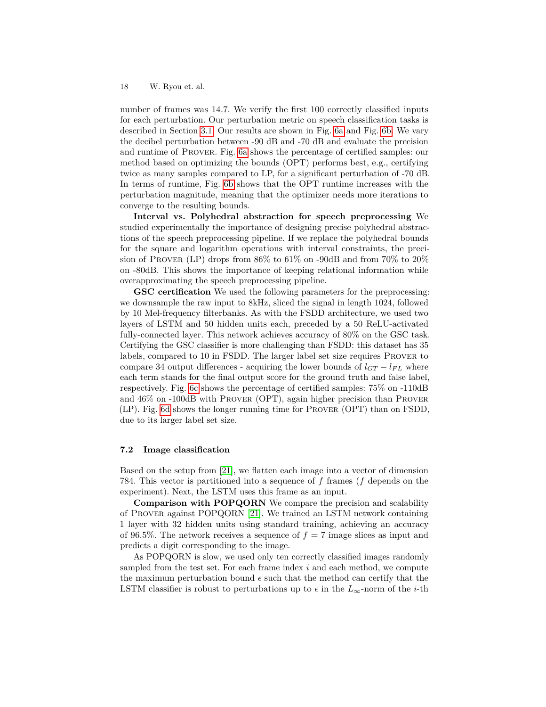number of frames was 14.7. We verify the first 100 correctly classified inputs for each perturbation. Our perturbation metric on speech classification tasks is described in Section [3.1.](#page-3-0) Our results are shown in Fig. [6a](#page-16-0) and Fig. [6b.](#page-16-0) We vary the decibel perturbation between -90 dB and -70 dB and evaluate the precision and runtime of Prover. Fig. [6a](#page-16-0) shows the percentage of certified samples: our method based on optimizing the bounds (OPT) performs best, e.g., certifying twice as many samples compared to LP, for a significant perturbation of -70 dB. In terms of runtime, Fig. [6b](#page-16-0) shows that the OPT runtime increases with the perturbation magnitude, meaning that the optimizer needs more iterations to converge to the resulting bounds.

**Interval vs. Polyhedral abstraction for speech preprocessing** We studied experimentally the importance of designing precise polyhedral abstractions of the speech preprocessing pipeline. If we replace the polyhedral bounds for the square and logarithm operations with interval constraints, the precision of PROVER (LP) drops from  $86\%$  to  $61\%$  on -90dB and from  $70\%$  to  $20\%$ on -80dB. This shows the importance of keeping relational information while overapproximating the speech preprocessing pipeline.

**GSC certification** We used the following parameters for the preprocessing: we downsample the raw input to 8kHz, sliced the signal in length 1024, followed by 10 Mel-frequency filterbanks. As with the FSDD architecture, we used two layers of LSTM and 50 hidden units each, preceded by a 50 ReLU-activated fully-connected layer. This network achieves accuracy of 80% on the GSC task. Certifying the GSC classifier is more challenging than FSDD: this dataset has 35 labels, compared to 10 in FSDD. The larger label set size requires Prover to compare 34 output differences - acquiring the lower bounds of  $l_{GT} - l_{FL}$  where each term stands for the final output score for the ground truth and false label, respectively. Fig. [6c](#page-16-0) shows the percentage of certified samples: 75% on -110dB and 46% on -100dB with Prover (OPT), again higher precision than Prover (LP). Fig. [6d](#page-16-0) shows the longer running time for Prover (OPT) than on FSDD, due to its larger label set size.

#### **7.2 Image classification**

Based on the setup from [\[21\]](#page-21-11), we flatten each image into a vector of dimension 784. This vector is partitioned into a sequence of *f* frames (*f* depends on the experiment). Next, the LSTM uses this frame as an input.

**Comparison with POPQORN** We compare the precision and scalability of Prover against POPQORN [\[21\]](#page-21-11). We trained an LSTM network containing 1 layer with 32 hidden units using standard training, achieving an accuracy of 96.5%. The network receives a sequence of  $f = 7$  image slices as input and predicts a digit corresponding to the image.

As POPQORN is slow, we used only ten correctly classified images randomly sampled from the test set. For each frame index *i* and each method, we compute the maximum perturbation bound  $\epsilon$  such that the method can certify that the LSTM classifier is robust to perturbations up to  $\epsilon$  in the *L*<sub>∞</sub>-norm of the *i*-th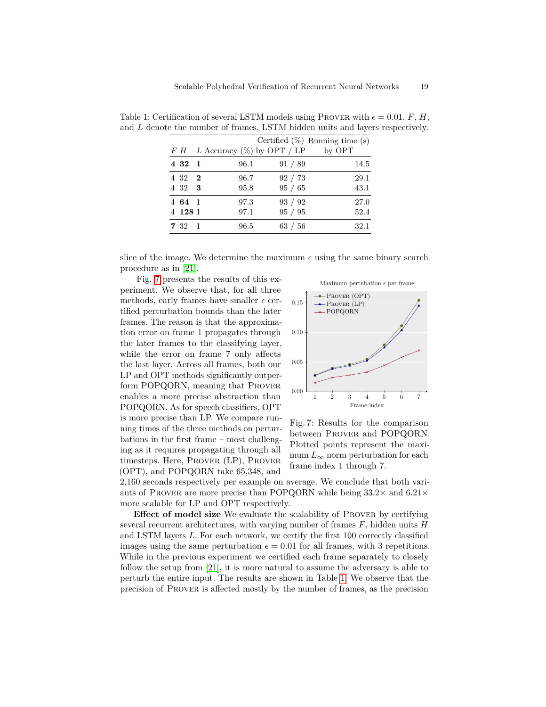|                          |                                  |              |                    | Certified $(\%)$ Running time (s) |
|--------------------------|----------------------------------|--------------|--------------------|-----------------------------------|
|                          | $F H$ L Accuracy (%) by OPT / LP |              |                    | by OPT                            |
| 4 3 2 1                  |                                  | 96.1         | 91 / 89            | 14.5                              |
| $4\,32\,2$<br>$4\,32\,3$ |                                  | 96.7<br>95.8 | 92 / 73<br>95 / 65 | 29.1<br>43.1                      |
| 4 64 1<br>4 1 28 1       |                                  | 97.3<br>97.1 | 93 / 92<br>95 / 95 | 27.0<br>52.4                      |
| 7 32 1                   |                                  | 96.5         | 63 / 56            | 32.1                              |

<span id="page-18-1"></span>Table 1: Certification of several LSTM models using PROVER with  $\epsilon = 0.01$ . F, H, and *L* denote the number of frames, LSTM hidden units and layers respectively.

slice of the image. We determine the maximum  $\epsilon$  using the same binary search procedure as in [\[21\]](#page-21-11).

Fig. [7](#page-18-0) presents the results of this experiment. We observe that, for all three methods, early frames have smaller  $\epsilon$  certified perturbation bounds than the later frames. The reason is that the approximation error on frame 1 propagates through the later frames to the classifying layer, while the error on frame 7 only affects the last layer. Across all frames, both our LP and OPT methods significantly outperform POPQORN, meaning that Prover enables a more precise abstraction than POPQORN. As for speech classifiers, OPT is more precise than LP. We compare running times of the three methods on perturbations in the first frame – most challenging as it requires propagating through all timesteps. Here, Prover (LP), Prover (OPT), and POPQORN take 65,348, and

<span id="page-18-0"></span>

Fig. 7: Results for the comparison between Prover and POPQORN. Plotted points represent the maximum  $L_{\infty}$  norm perturbation for each frame index 1 through 7.

2,160 seconds respectively per example on average. We conclude that both variants of PROVER are more precise than POPQORN while being  $33.2\times$  and  $6.21\times$ more scalable for LP and OPT respectively.

**Effect of model size** We evaluate the scalability of PROVER by certifying several recurrent architectures, with varying number of frames *F*, hidden units *H* and LSTM layers *L*. For each network, we certify the first 100 correctly classified images using the same perturbation  $\epsilon = 0.01$  for all frames, with 3 repetitions. While in the previous experiment we certified each frame separately to closely follow the setup from [\[21\]](#page-21-11), it is more natural to assume the adversary is able to perturb the entire input. The results are shown in Table [1.](#page-18-1) We observe that the precision of Prover is affected mostly by the number of frames, as the precision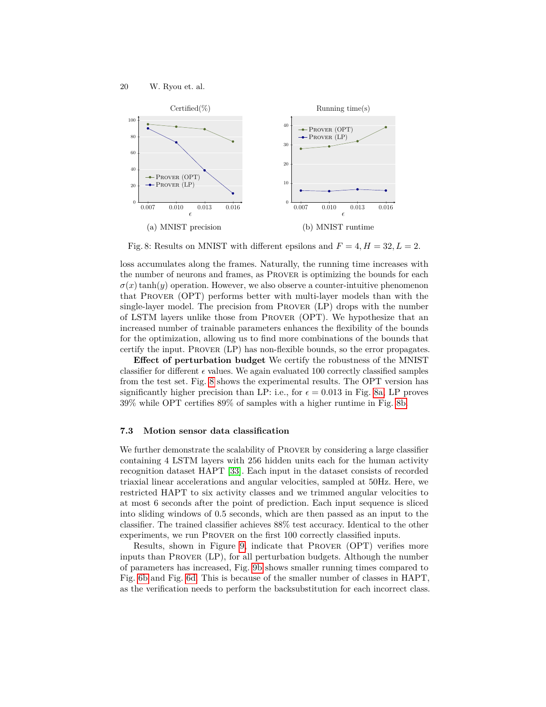<span id="page-19-0"></span>

Fig. 8: Results on MNIST with different epsilons and  $F = 4, H = 32, L = 2$ .

loss accumulates along the frames. Naturally, the running time increases with the number of neurons and frames, as Prover is optimizing the bounds for each  $\sigma(x)$  tanh(*y*) operation. However, we also observe a counter-intuitive phenomenon that Prover (OPT) performs better with multi-layer models than with the single-layer model. The precision from Prover (LP) drops with the number of LSTM layers unlike those from Prover (OPT). We hypothesize that an increased number of trainable parameters enhances the flexibility of the bounds for the optimization, allowing us to find more combinations of the bounds that certify the input. Prover (LP) has non-flexible bounds, so the error propagates.

**Effect of perturbation budget** We certify the robustness of the MNIST classifier for different  $\epsilon$  values. We again evaluated 100 correctly classified samples from the test set. Fig. [8](#page-19-0) shows the experimental results. The OPT version has significantly higher precision than LP: i.e., for  $\epsilon = 0.013$  in Fig. [8a,](#page-19-0) LP proves 39% while OPT certifies 89% of samples with a higher runtime in Fig. [8b.](#page-19-0)

#### **7.3 Motion sensor data classification**

We further demonstrate the scalability of PROVER by considering a large classifier containing 4 LSTM layers with 256 hidden units each for the human activity recognition dataset HAPT [\[33\]](#page-22-19). Each input in the dataset consists of recorded triaxial linear accelerations and angular velocities, sampled at 50Hz. Here, we restricted HAPT to six activity classes and we trimmed angular velocities to at most 6 seconds after the point of prediction. Each input sequence is sliced into sliding windows of 0.5 seconds, which are then passed as an input to the classifier. The trained classifier achieves 88% test accuracy. Identical to the other experiments, we run PROVER on the first 100 correctly classified inputs.

Results, shown in Figure [9,](#page-20-7) indicate that Prover (OPT) verifies more inputs than Prover (LP), for all perturbation budgets. Although the number of parameters has increased, Fig. [9b](#page-20-7) shows smaller running times compared to Fig. [6b](#page-16-0) and Fig. [6d.](#page-16-0) This is because of the smaller number of classes in HAPT, as the verification needs to perform the backsubstitution for each incorrect class.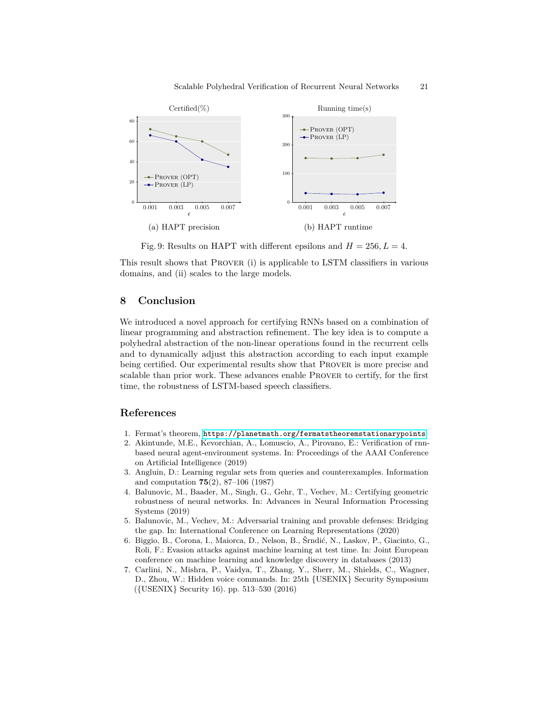<span id="page-20-7"></span>

Fig. 9: Results on HAPT with different epsilons and  $H = 256, L = 4$ .

This result shows that Prover (i) is applicable to LSTM classifiers in various domains, and (ii) scales to the large models.

# **8 Conclusion**

We introduced a novel approach for certifying RNNs based on a combination of linear programming and abstraction refinement. The key idea is to compute a polyhedral abstraction of the non-linear operations found in the recurrent cells and to dynamically adjust this abstraction according to each input example being certified. Our experimental results show that Prover is more precise and scalable than prior work. These advances enable Prover to certify, for the first time, the robustness of LSTM-based speech classifiers.

# **References**

- <span id="page-20-1"></span>1. Fermat's theorem, <https://planetmath.org/fermatstheoremstationarypoints>
- <span id="page-20-4"></span>2. Akintunde, M.E., Kevorchian, A., Lomuscio, A., Pirovano, E.: Verification of rnnbased neural agent-environment systems. In: Proceedings of the AAAI Conference on Artificial Intelligence (2019)
- <span id="page-20-5"></span>3. Angluin, D.: Learning regular sets from queries and counterexamples. Information and computation **75**(2), 87–106 (1987)
- <span id="page-20-0"></span>4. Balunovic, M., Baader, M., Singh, G., Gehr, T., Vechev, M.: Certifying geometric robustness of neural networks. In: Advances in Neural Information Processing Systems (2019)
- <span id="page-20-6"></span>5. Balunovic, M., Vechev, M.: Adversarial training and provable defenses: Bridging the gap. In: International Conference on Learning Representations (2020)
- <span id="page-20-2"></span>6. Biggio, B., Corona, I., Maiorca, D., Nelson, B., Šrndić, N., Laskov, P., Giacinto, G., Roli, F.: Evasion attacks against machine learning at test time. In: Joint European conference on machine learning and knowledge discovery in databases (2013)
- <span id="page-20-3"></span>7. Carlini, N., Mishra, P., Vaidya, T., Zhang, Y., Sherr, M., Shields, C., Wagner, D., Zhou, W.: Hidden voice commands. In: 25th {USENIX} Security Symposium ({USENIX} Security 16). pp. 513–530 (2016)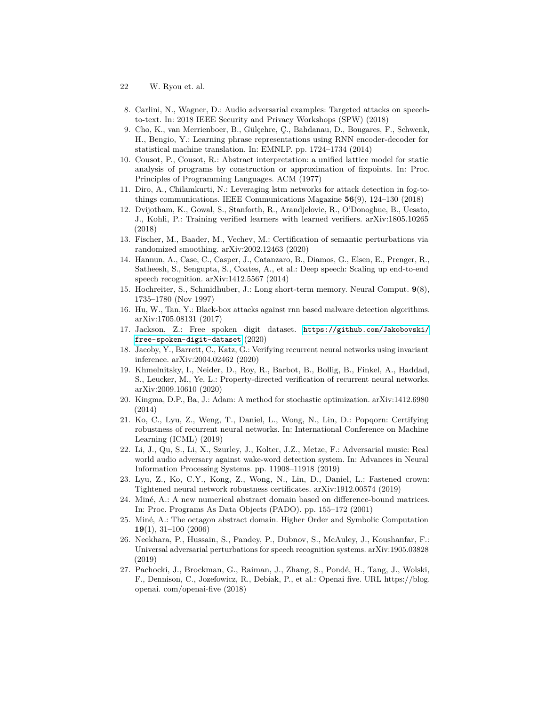- 22 W. Ryou et. al.
- <span id="page-21-2"></span>8. Carlini, N., Wagner, D.: Audio adversarial examples: Targeted attacks on speechto-text. In: 2018 IEEE Security and Privacy Workshops (SPW) (2018)
- <span id="page-21-10"></span>9. Cho, K., van Merrienboer, B., Gülçehre, Ç., Bahdanau, D., Bougares, F., Schwenk, H., Bengio, Y.: Learning phrase representations using RNN encoder-decoder for statistical machine translation. In: EMNLP. pp. 1724–1734 (2014)
- <span id="page-21-8"></span>10. Cousot, P., Cousot, R.: Abstract interpretation: a unified lattice model for static analysis of programs by construction or approximation of fixpoints. In: Proc. Principles of Programming Languages. ACM (1977)
- <span id="page-21-0"></span>11. Diro, A., Chilamkurti, N.: Leveraging lstm networks for attack detection in fog-tothings communications. IEEE Communications Magazine **56**(9), 124–130 (2018)
- <span id="page-21-5"></span>12. Dvijotham, K., Gowal, S., Stanforth, R., Arandjelovic, R., O'Donoghue, B., Uesato, J., Kohli, P.: Training verified learners with learned verifiers. arXiv:1805.10265 (2018)
- <span id="page-21-6"></span>13. Fischer, M., Baader, M., Vechev, M.: Certification of semantic perturbations via randomized smoothing. arXiv:2002.12463 (2020)
- <span id="page-21-12"></span>14. Hannun, A., Case, C., Casper, J., Catanzaro, B., Diamos, G., Elsen, E., Prenger, R., Satheesh, S., Sengupta, S., Coates, A., et al.: Deep speech: Scaling up end-to-end speech recognition. arXiv:1412.5567 (2014)
- <span id="page-21-9"></span>15. Hochreiter, S., Schmidhuber, J.: Long short-term memory. Neural Comput. **9**(8), 1735–1780 (Nov 1997)
- <span id="page-21-4"></span>16. Hu, W., Tan, Y.: Black-box attacks against rnn based malware detection algorithms. arXiv:1705.08131 (2017)
- <span id="page-21-18"></span>17. Jackson, Z.: Free spoken digit dataset. [https://github.com/Jakobovski/](https://github.com/Jakobovski/free-spoken-digit-dataset) [free-spoken-digit-dataset](https://github.com/Jakobovski/free-spoken-digit-dataset) (2020)
- <span id="page-21-14"></span>18. Jacoby, Y., Barrett, C., Katz, G.: Verifying recurrent neural networks using invariant inference. arXiv:2004.02462 (2020)
- <span id="page-21-15"></span>19. Khmelnitsky, I., Neider, D., Roy, R., Barbot, B., Bollig, B., Finkel, A., Haddad, S., Leucker, M., Ye, L.: Property-directed verification of recurrent neural networks. arXiv:2009.10610 (2020)
- <span id="page-21-19"></span>20. Kingma, D.P., Ba, J.: Adam: A method for stochastic optimization. arXiv:1412.6980 (2014)
- <span id="page-21-11"></span>21. Ko, C., Lyu, Z., Weng, T., Daniel, L., Wong, N., Lin, D.: Popqorn: Certifying robustness of recurrent neural networks. In: International Conference on Machine Learning (ICML) (2019)
- <span id="page-21-3"></span>22. Li, J., Qu, S., Li, X., Szurley, J., Kolter, J.Z., Metze, F.: Adversarial music: Real world audio adversary against wake-word detection system. In: Advances in Neural Information Processing Systems. pp. 11908–11918 (2019)
- <span id="page-21-7"></span>23. Lyu, Z., Ko, C.Y., Kong, Z., Wong, N., Lin, D., Daniel, L.: Fastened crown: Tightened neural network robustness certificates. arXiv:1912.00574 (2019)
- <span id="page-21-17"></span>24. Miné, A.: A new numerical abstract domain based on difference-bound matrices. In: Proc. Programs As Data Objects (PADO). pp. 155–172 (2001)
- <span id="page-21-16"></span>25. Miné, A.: The octagon abstract domain. Higher Order and Symbolic Computation **19**(1), 31–100 (2006)
- <span id="page-21-13"></span>26. Neekhara, P., Hussain, S., Pandey, P., Dubnov, S., McAuley, J., Koushanfar, F.: Universal adversarial perturbations for speech recognition systems. arXiv:1905.03828 (2019)
- <span id="page-21-1"></span>27. Pachocki, J., Brockman, G., Raiman, J., Zhang, S., Pondé, H., Tang, J., Wolski, F., Dennison, C., Jozefowicz, R., Debiak, P., et al.: Openai five. URL https://blog. openai. com/openai-five (2018)